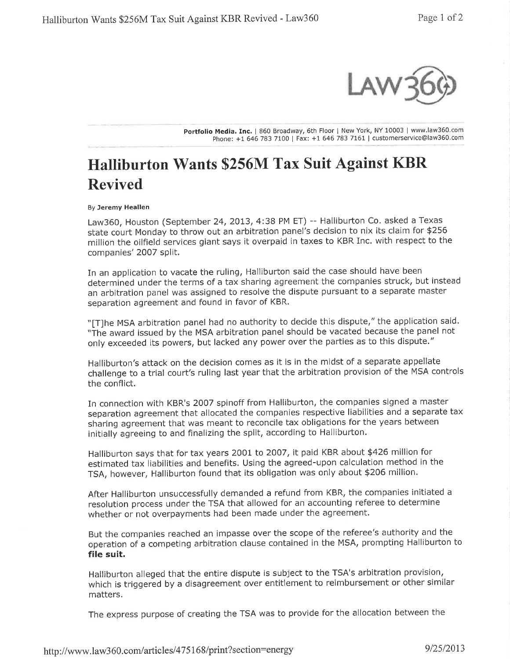

Portfolio Media. Inc. | 860 Broadway, 6th Floor | New York, NY 10003 | www.law360.com Phone: +1 646783 7100 | Fax: +16467837L61 | customerservice@law360.com

## Halliburton Wants \$256M Tax Suit Against KBR Revived

## By Jeremy Heallen

Law360, Houston (September 24, 2013, 4:38 PM ET) -- Halliburton Co. asked a Texas state court Monday to throw out an arbitration panel's decision to nix its claim for \$256 million the oilfield services giant says it overpaid in taxes to KBR Inc. with respect to the companies' 2007 split.

In an application to vacate the ruling, Halliburton said the case should have been determined under the terms of a tax sharing agreement the companies struck, but instead an arbitration panel was assigned to resolve the dispute pursuant to a separate master separation agreement and found in favor of KBR.

"[T]he MSA arbitration panel had no authority to decide this dispute," the application said. "The award issued by the MSA arbitration panel should be vacated because the panel not only exceeded its powers, but lacked any power over the parties as to this dispute."

Halliburton's attack on the decision comes as it is in the midst of a separate appellate challenge to a trial court's ruling last year that the arbitration provision of the MSA controls the conflict.

In connection with KBR's 2OO7 spinoff from Halliburton, the companies signed a master separation agreement that allocated the companies respective liabilities and a separate tax sharing agreement that was meant to reconcile tax obligations for the years between initially agreeing to and finalizing the split, according to Halliburton.

Halliburton says that for tax years 2001 to 2OO7, it paid KBR about \$426 million for estimated tax liabilities and benefits. Using the agreed-upon calculation method in the TSA, however, Halliburton found that its obligation was only about \$206 million.

After Halliburton unsuccessfully demanded a refund from KBR, the companies initiated <sup>a</sup> resolution process under the TSA that allowed for an accounting referee to determine whether or not overpayments had been made under the agreement.

But the companies reached an impasse over the scope of the referee's authority and the operation of a competing arbitration clause contained in the MSA, prompting Halliburton to file suit.

Halliburton alleged that the entire dispute is subject to the TSA's arbitration provision, which is triggered by a disagreement over entitlement to reimbursement or other similar matters.

The express purpose of creating the TSA was to provide for the allocation between the